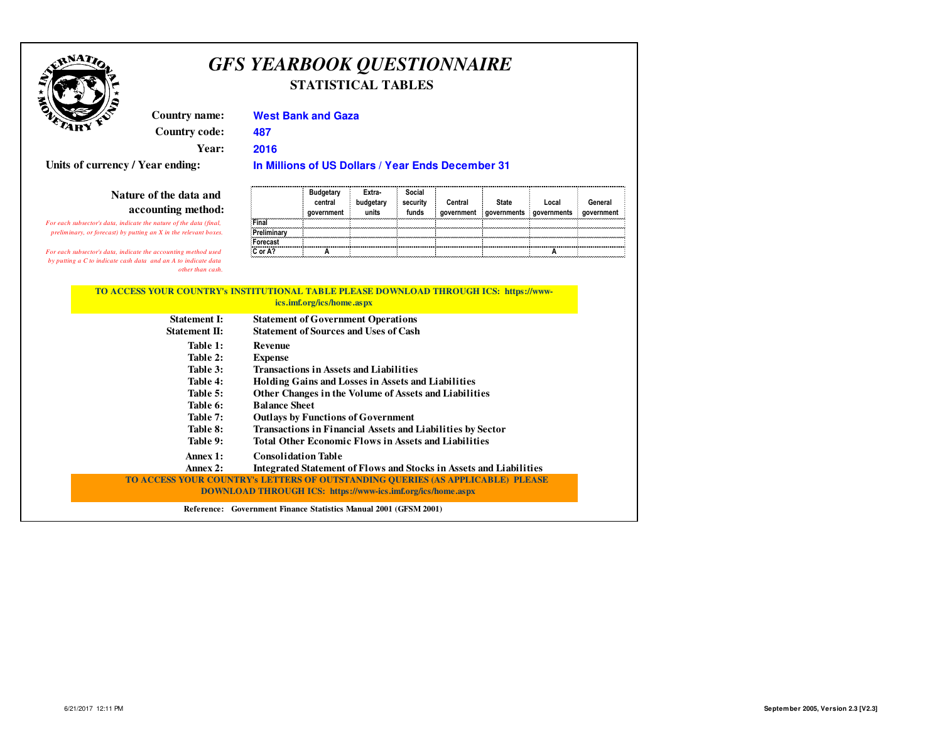

# *GFS YEARBOOK QUESTIONNAIRE***STATISTICAL TABLES**

**Country name:Country code:**

**2016 Year:**

**Units of currency / Year ending:**

### **Nature of the data and accounting method:**

*For each subsector's data, indicate the nature of the data (final, preliminary, or forecast) by putting an X in the relevant boxes.*

*For each subsector's data, indicate the accounting method used by putting a C to indicate cash data and an A to indicate data other than cash.*

### **West Bank and Gaza**

**487**

**In Millions of US Dollars / Year Ends December 31** 

|             | <b>Budgetary</b><br>central<br>government | Extra-<br>budgetary<br>units | Social<br>security<br>funds | Central<br>aovernment | <b>State</b><br>governments | Local<br>governments | General<br>government |
|-------------|-------------------------------------------|------------------------------|-----------------------------|-----------------------|-----------------------------|----------------------|-----------------------|
| Final       |                                           |                              |                             |                       |                             |                      |                       |
| Preliminary |                                           |                              |                             |                       |                             |                      |                       |
| Forecast    |                                           |                              |                             |                       |                             |                      |                       |
| C or A?     |                                           |                              |                             |                       |                             |                      |                       |

#### **TO ACCESS YOUR COUNTRY's INSTITUTIONAL TABLE PLEASE DOWNLOAD THROUGH ICS: https://wwwics.imf.org/ics/home.aspx**

|                      | $1000$ values of $1000$ and $1000$ and $1000$                                  |
|----------------------|--------------------------------------------------------------------------------|
| <b>Statement I:</b>  | <b>Statement of Government Operations</b>                                      |
| <b>Statement II:</b> | <b>Statement of Sources and Uses of Cash</b>                                   |
| Table 1:             | <b>Revenue</b>                                                                 |
| Table 2:             | <b>Expense</b>                                                                 |
| Table 3:             | <b>Transactions in Assets and Liabilities</b>                                  |
| Table 4:             | <b>Holding Gains and Losses in Assets and Liabilities</b>                      |
| Table 5:             | Other Changes in the Volume of Assets and Liabilities                          |
| Table 6:             | <b>Balance Sheet</b>                                                           |
| Table 7:             | <b>Outlays by Functions of Government</b>                                      |
| Table 8:             | <b>Transactions in Financial Assets and Liabilities by Sector</b>              |
| Table 9:             | <b>Total Other Economic Flows in Assets and Liabilities</b>                    |
| Annex 1:             | <b>Consolidation Table</b>                                                     |
| Annex 2:             | Integrated Statement of Flows and Stocks in Assets and Liabilities             |
|                      | TO ACCESS YOUR COUNTRY's LETTERS OF OUTSTANDING OUERIES (AS APPLICABLE) PLEASE |
|                      | <b>DOWNLOAD THROUGH ICS:</b> https://www-ics.imf.org/ics/home.aspx             |
|                      | Reference: Government Finance Statistics Manual 2001 (GFSM 2001)               |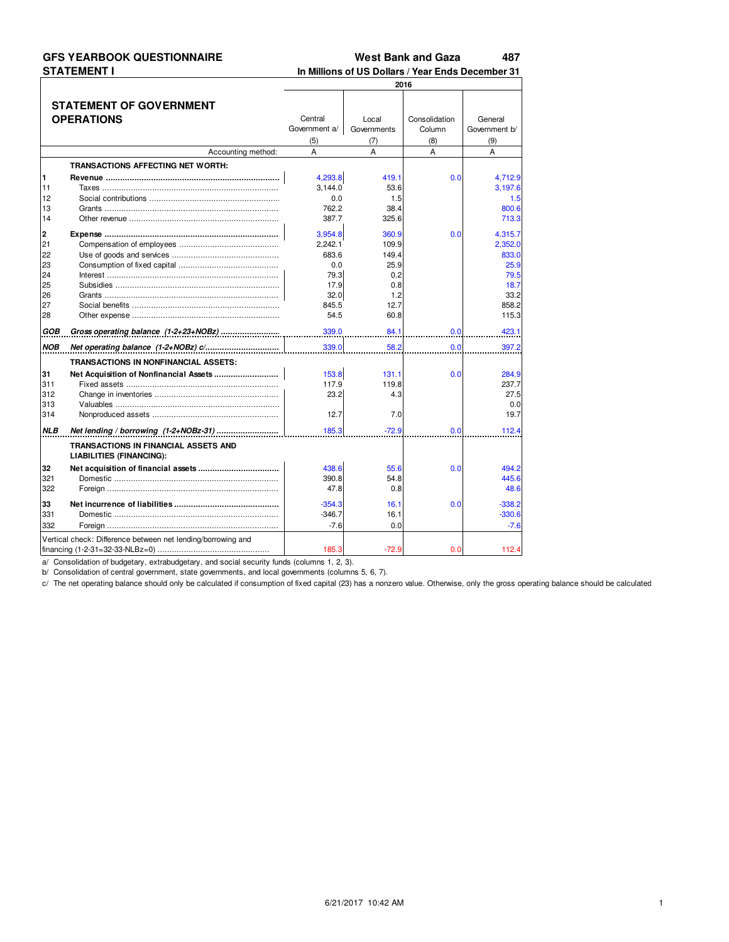### **GFS YEARBOOK QUESTIONNAIRE STATEMENT I**

**West Bank and Gaza** 487

In Millions of US Dollars / Year Ends December 31 2016 **STATEMENT OF GOVERNMENT OPERATIONS** Central Local Consolidation General Government a/ Governments Column Government b/  $(5)$  $(7)$  $(8)$  $(9)$ Accounting method:  $\overline{A}$  $\overline{A}$  $\overline{A}$ A TRANSACTIONS AFFECTING NET WORTH: 4,293.8 419.1  $0.0$ 4,712.9  $11$  $3,144.0$ 53.6  $3,197.6$ Taxes  $12$  $0.0$  $1.5$  $1.5$ 762.2  $13$ 38.4  $800.6$  $14$ 3877  $325f$ 713.3  $\overline{\mathbf{c}}$ 3,954.8 360 C 4,315.7 **Expense ..........**  $0.<sub>C</sub>$  $21$  $2.242.1$ 109.9  $2,352.0$  $\overline{22}$ 833.0 683.6 149.4  $23$  $0.0$ 25.9  $25.9$  $\overline{24}$ 79.3  $02$  $79F$ 25 17.9  $0.8$  $18.7$ 26  $32.0$ 33.2  $1.2$  $27$ 845.5  $12.7$ 858.2 28 54.5 60.8 115.3 339.0 84.1  $0.0$ 423.1 339.0 58.2  $0.0$ 397.2 TRANSACTIONS IN NONFINANCIAL ASSETS: 31 Net Acquisition of Nonfinancial Assets ................ 153.8  $131.1$  $0.0$ 284.9 117.9 237.7  $311$ 119.8 312 23.2  $4.3$  $27F$ 313  $0.0$  $12.7$ 314  $7.0$ 19.7  $185.3$  $N\!LB$ Net lending / borrowing (1-2+NOBz-31) ..........  $-72.9$  $0.0$  $112.4$ TRANSACTIONS IN FINANCIAL ASSETS AND **LIABILITIES (FINANCING):** 438.6 32 55.6  $0.0$ 494.2 321 390.8 54.8 445.6 322  $47.8$  $0.8$  $48.6$ Net incurrence of liabilities ......... 33  $-354$  $16.1$  $0.0$  $-338.2$ Domestic ....................... 331  $-346.7$  $16.1$  $-330.6$ 332  $-7.6$  $-7.6$ Foreign  $0.0$ Vertical check: Difference between net lending/borrowing and financing (1-2-31=32-33-NLBz=0) ....................  $-72.9$  $112.4$ 185  $0.0$ 

a/ Consolidation of budgetary, extrabudgetary, and social security funds (columns 1, 2, 3).

b/ Consolidation of central government, state governments, and local governments (columns 5, 6, 7).

c/ The net operating balance should only be calculated if consumption of fixed capital (23) has a nonzero value. Otherwise, only the gross operating balance should be calculated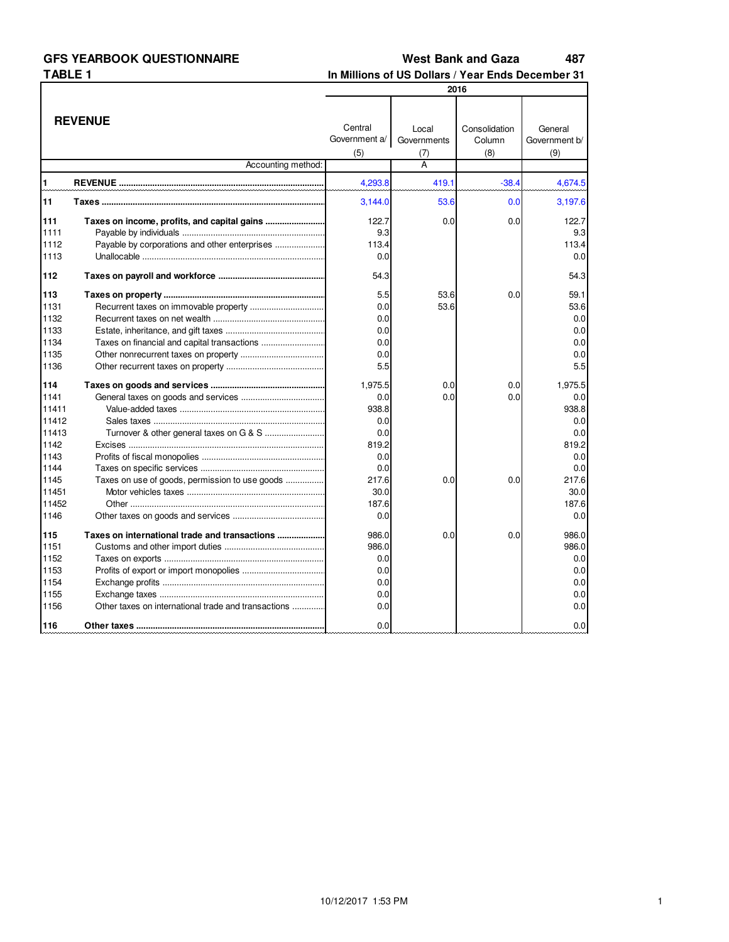#### **West Bank and Gaza** 487

# In Millions of US Dollars / Year Ends December 31

| <b>REVENUE</b><br>Central<br>Consolidation<br>General<br>Local<br>Government a/<br>Governments<br>Column<br>Government b/<br>(8)<br>(5)<br>(9)<br>(7)<br>Accounting method:<br>A<br>1<br>4,293.8<br>419.1<br>$-38.4$<br>11<br>53.6<br>3,144.0<br>0.0<br>111<br>Taxes on income, profits, and capital gains<br>122.7<br>0.0<br>0.0<br>1111<br>9.3<br>1112<br>113.4<br>1113<br>0.0<br>112<br>54.3<br>113<br>5.5<br>53.6<br>0.0<br>53.6<br>1131<br>0.0<br>1132<br>0.0<br>1133<br>0.0<br>1134<br>0.0<br>1135<br>0.0 |         |
|-----------------------------------------------------------------------------------------------------------------------------------------------------------------------------------------------------------------------------------------------------------------------------------------------------------------------------------------------------------------------------------------------------------------------------------------------------------------------------------------------------------------|---------|
|                                                                                                                                                                                                                                                                                                                                                                                                                                                                                                                 |         |
|                                                                                                                                                                                                                                                                                                                                                                                                                                                                                                                 |         |
|                                                                                                                                                                                                                                                                                                                                                                                                                                                                                                                 |         |
|                                                                                                                                                                                                                                                                                                                                                                                                                                                                                                                 |         |
|                                                                                                                                                                                                                                                                                                                                                                                                                                                                                                                 | 4,674.5 |
|                                                                                                                                                                                                                                                                                                                                                                                                                                                                                                                 | 3,197.6 |
|                                                                                                                                                                                                                                                                                                                                                                                                                                                                                                                 | 122.7   |
|                                                                                                                                                                                                                                                                                                                                                                                                                                                                                                                 | 9.3     |
|                                                                                                                                                                                                                                                                                                                                                                                                                                                                                                                 | 113.4   |
|                                                                                                                                                                                                                                                                                                                                                                                                                                                                                                                 | 0.0     |
|                                                                                                                                                                                                                                                                                                                                                                                                                                                                                                                 | 54.3    |
|                                                                                                                                                                                                                                                                                                                                                                                                                                                                                                                 | 59.1    |
|                                                                                                                                                                                                                                                                                                                                                                                                                                                                                                                 | 53.6    |
|                                                                                                                                                                                                                                                                                                                                                                                                                                                                                                                 | 0.0     |
|                                                                                                                                                                                                                                                                                                                                                                                                                                                                                                                 | 0.0     |
|                                                                                                                                                                                                                                                                                                                                                                                                                                                                                                                 | 0.0     |
|                                                                                                                                                                                                                                                                                                                                                                                                                                                                                                                 | 0.0     |
| 5.5<br>1136                                                                                                                                                                                                                                                                                                                                                                                                                                                                                                     | 5.5     |
| 114<br>1.975.5<br>0.0<br>0.0                                                                                                                                                                                                                                                                                                                                                                                                                                                                                    | 1.975.5 |
| 1141<br>0.0<br>0.0<br>0.0                                                                                                                                                                                                                                                                                                                                                                                                                                                                                       | 0.0     |
| 938.8<br>11411                                                                                                                                                                                                                                                                                                                                                                                                                                                                                                  | 938.8   |
| 11412<br>0.0                                                                                                                                                                                                                                                                                                                                                                                                                                                                                                    | 0.0     |
| 11413<br>0.0                                                                                                                                                                                                                                                                                                                                                                                                                                                                                                    | 0.0     |
| 1142<br>819.2                                                                                                                                                                                                                                                                                                                                                                                                                                                                                                   | 819.2   |
| 1143<br>0.0                                                                                                                                                                                                                                                                                                                                                                                                                                                                                                     | 0.0     |
| 0.0<br>1144                                                                                                                                                                                                                                                                                                                                                                                                                                                                                                     | 0.0     |
| 0.0<br>1145<br>Taxes on use of goods, permission to use goods<br>217.6<br>0.0                                                                                                                                                                                                                                                                                                                                                                                                                                   | 217.6   |
| 11451<br>30.0                                                                                                                                                                                                                                                                                                                                                                                                                                                                                                   | 30.0    |
| 11452<br>187.6                                                                                                                                                                                                                                                                                                                                                                                                                                                                                                  | 187.6   |
| 1146<br>0.0                                                                                                                                                                                                                                                                                                                                                                                                                                                                                                     | 0.0     |
| 115<br>Taxes on international trade and transactions<br>986.0<br>0.0<br>0.0                                                                                                                                                                                                                                                                                                                                                                                                                                     | 986.0   |
| 1151<br>986.0                                                                                                                                                                                                                                                                                                                                                                                                                                                                                                   | 986.0   |
| 1152<br>0.0                                                                                                                                                                                                                                                                                                                                                                                                                                                                                                     | 0.0     |
| 1153<br>0.0                                                                                                                                                                                                                                                                                                                                                                                                                                                                                                     | 0.0     |
| 1154<br>0.0                                                                                                                                                                                                                                                                                                                                                                                                                                                                                                     | 0.0     |
| 1155<br>0.0                                                                                                                                                                                                                                                                                                                                                                                                                                                                                                     | 0.0     |
| Other taxes on international trade and transactions<br>0.0<br>1156                                                                                                                                                                                                                                                                                                                                                                                                                                              | 0.0     |
| 116<br>0.0                                                                                                                                                                                                                                                                                                                                                                                                                                                                                                      |         |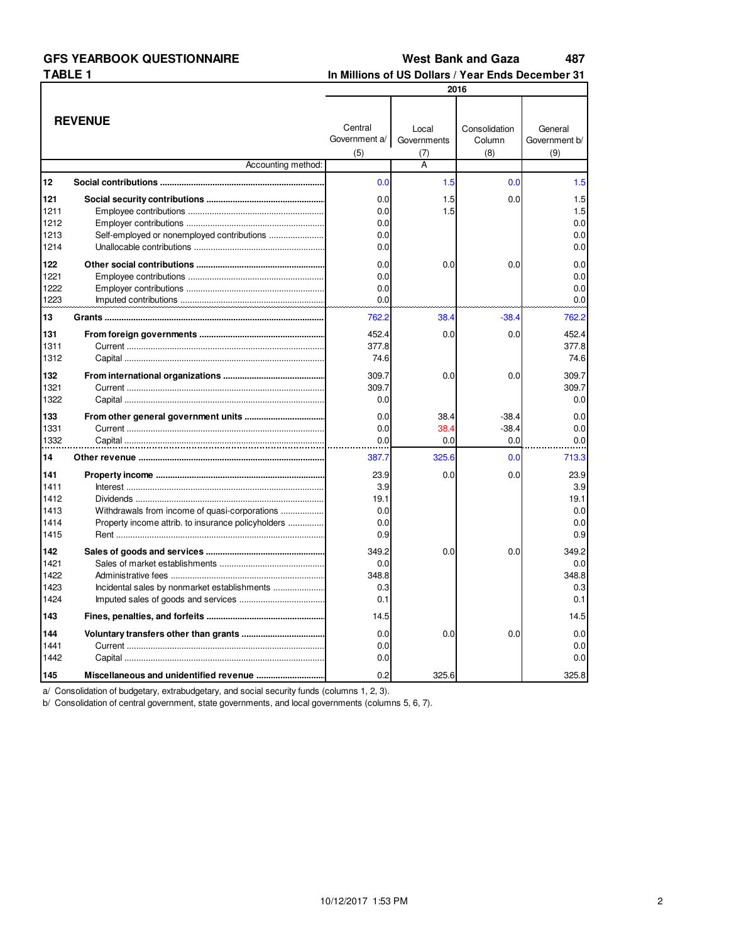#### **West Bank and Gaza** 487

In Millions of US Dollars / Year Ends December 31

| 2016                                        |                                                                                                     |                                          |                             |                                |                                          |
|---------------------------------------------|-----------------------------------------------------------------------------------------------------|------------------------------------------|-----------------------------|--------------------------------|------------------------------------------|
|                                             | <b>REVENUE</b>                                                                                      | Central<br>Government a/<br>(5)          | Local<br>Governments<br>(7) | Consolidation<br>Column<br>(8) | General<br>Government b/<br>(9)          |
|                                             | Accounting method:                                                                                  |                                          | A                           |                                |                                          |
| 12                                          |                                                                                                     | 0.0                                      | 1.5                         | 0.0                            | 1.5                                      |
| 121<br>1211<br>1212<br>1213<br>1214         |                                                                                                     | 0.0<br>0.0<br>0.0<br>0.0<br>0.0          | 1.5<br>1.5                  | 0.0                            | 1.5<br>1.5<br>0.0<br>0.0<br>0.0          |
| 122<br>1221<br>1222<br>1223                 |                                                                                                     | 0.0<br>0.0<br>0.0<br>0.0                 | 0.0                         | 0.0                            | 0.0<br>0.0<br>0.0<br>0.0                 |
| 13                                          |                                                                                                     | 762.2                                    | 38.4                        | $-38.4$                        | 762.2                                    |
| 131<br>1311<br>1312                         |                                                                                                     | 452.4<br>377.8<br>74.6                   | 0.0                         | 0.0                            | 452.4<br>377.8<br>74.6                   |
| 132<br>1321<br>1322                         |                                                                                                     | 309.7<br>309.7<br>0.0                    | 0.0                         | 0.0                            | 309.7<br>309.7<br>0.0                    |
| 133<br>1331<br>1332                         |                                                                                                     | 0.0<br>0.0<br>0.0                        | 38.4<br>38.4<br>0.0         | $-38.4$<br>$-38.4$<br>0.0      | 0.0<br>0.0<br>0.0                        |
| 14                                          |                                                                                                     | 387.7                                    | 325.6                       | 0.0                            | 713.3                                    |
| 141<br>1411<br>1412<br>1413<br>1414<br>1415 | Withdrawals from income of quasi-corporations<br>Property income attrib. to insurance policyholders | 23.9<br>3.9<br>19.1<br>0.0<br>0.0<br>0.9 | 0.0                         | 0.0                            | 23.9<br>3.9<br>19.1<br>0.0<br>0.0<br>0.9 |
| 142<br>1421<br>1422<br>1423<br>1424         |                                                                                                     | 349.2<br>0.0<br>348.8<br>0.3<br>0.1      | 0.0                         | 0.0                            | 349.2<br>0.0<br>348.8<br>0.3<br>0.1      |
| 143                                         |                                                                                                     | 14.5                                     |                             |                                | 14.5                                     |
| 144<br>1441<br>1442                         |                                                                                                     | 0.0<br>0.0<br>0.0                        | 0.0                         | 0.0                            | 0.0<br>0.0<br>0.0                        |
| 145                                         |                                                                                                     | 0.2                                      | 325.6                       |                                | 325.8                                    |

a/ Consolidation of budgetary, extrabudgetary, and social security funds (columns 1, 2, 3).<br>b/ Consolidation of central government, state governments, and local governments (columns 5, 6, 7).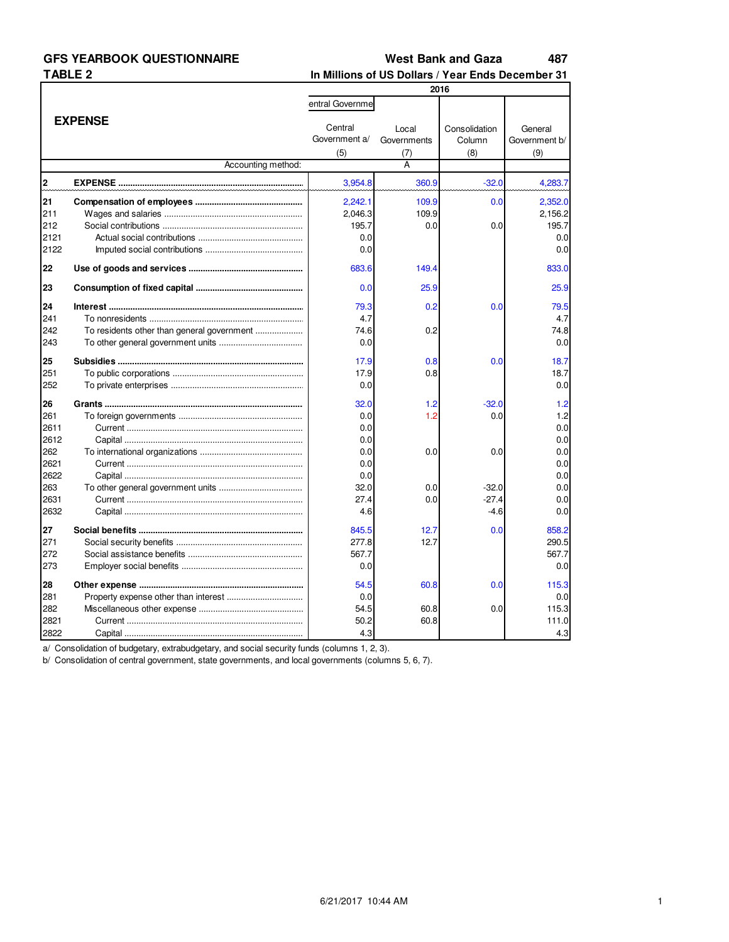#### **West Bank and Gaza** 487

In Millions of US Dollars / Year Ends December 31

|                                  |                    | 2016                                      |                             |                                |                                           |  |
|----------------------------------|--------------------|-------------------------------------------|-----------------------------|--------------------------------|-------------------------------------------|--|
|                                  |                    | entral Governme                           |                             |                                |                                           |  |
|                                  | <b>EXPENSE</b>     |                                           | Local<br>Governments<br>(7) | Consolidation<br>Column<br>(8) | General<br>Government b/<br>(9)           |  |
|                                  | Accounting method: | (5)                                       | A                           |                                |                                           |  |
| $\overline{\mathbf{c}}$          |                    | 3,954.8                                   | 360.9                       | $-32.0$                        | 4,283.7                                   |  |
| 21<br>211<br>212<br>2121<br>2122 |                    | 2,242.1<br>2,046.3<br>195.7<br>0.0<br>0.0 | 109.9<br>109.9<br>0.0       | 0.0<br>0.0                     | 2,352.0<br>2,156.2<br>195.7<br>0.0<br>0.0 |  |
| 22                               |                    | 683.6                                     | 149.4                       |                                | 833.0                                     |  |
| 23                               |                    | 0.0                                       | 25.9                        |                                | 25.9                                      |  |
| 24<br>241<br>242<br>243          |                    | 79.3<br>4.7<br>74.6<br>0.0                | 0.2<br>0.2                  | 0.0                            | 79.5<br>4.7<br>74.8<br>0.0                |  |
| 25<br>251<br>252                 |                    | 17.9<br>17.9<br>0.0                       | 0.8<br>0.8                  | 0.0                            | 18.7<br>18.7<br>0.0                       |  |
| 26<br>261<br>2611<br>2612        |                    | 32.0<br>0.0<br>0.0<br>0.0                 | 1.2<br>1.2                  | $-32.0$<br>0.0                 | 1.2<br>1.2<br>0.0<br>0.0                  |  |
| 262<br>2621<br>2622              |                    | 0.0<br>0.0<br>0.0                         | 0.0                         | 0.0                            | 0.0<br>0.0<br>0.0                         |  |
| 263<br>2631<br>2632              |                    | 32.0<br>27.4<br>4.6                       | 0.0<br>0.0                  | $-32.0$<br>$-27.4$<br>$-4.6$   | 0.0<br>0.0<br>0.0                         |  |
| 27<br>271<br>272<br>273          |                    | 845.5<br>277.8<br>567.7<br>0.0            | 12.7<br>12.7                | 0.0                            | 858.2<br>290.5<br>567.7<br>0.0            |  |
| 28<br>281<br>282<br>2821<br>2822 |                    | 54.5<br>0.0<br>54.5<br>50.2<br>4.3        | 60.8<br>60.8<br>60.8        | 0.0<br>0.0                     | 115.3<br>0.0<br>115.3<br>111.0<br>4.3     |  |

a/ Consolidation of budgetary, extrabudgetary, and social security funds (columns 1, 2, 3).

b/ Consolidation of central government, state governments, and local governments (columns 5, 6, 7).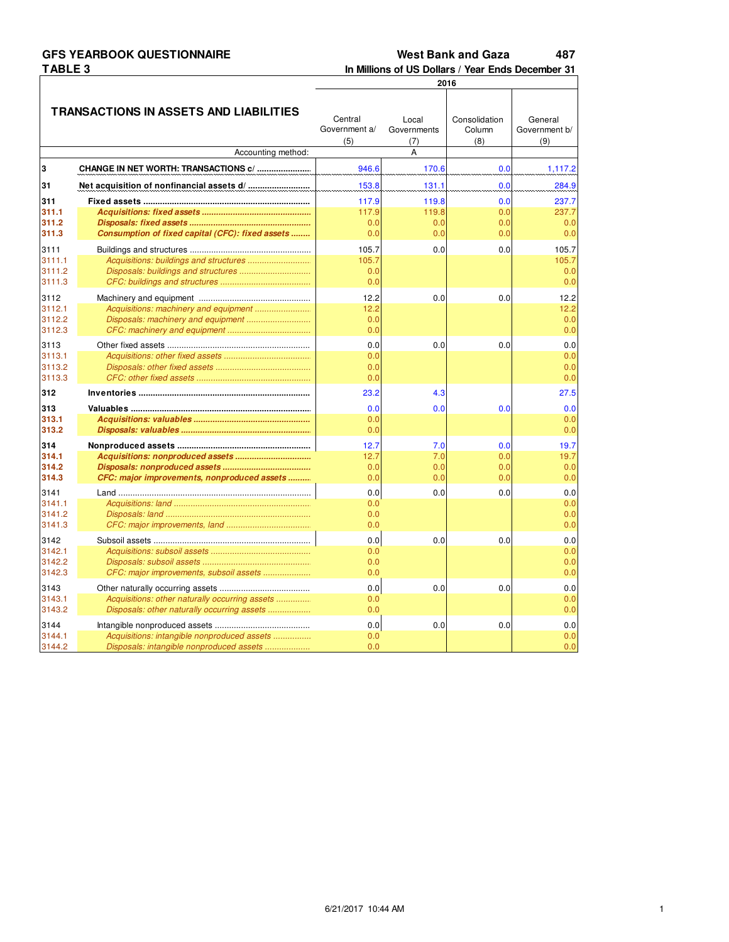# **GFS YEARBOOK QUESTIONNAIRE GES TEANDUUN QUESTIUNNAIKE<br>TABLE 3<br>COMPOSE DE COMPOSE DE COMPOSE DE COMPOSE DE COMPOSE DE COMPOSE DE COMPOSE DE COMPOSE DE COMPOSE DE COMPOSE DE**

#### **West Bank and Gaza** 487

In Millions of US Dollars / Year Ends December 31

|        |                                                  | 2016                            |                             |                                |                                 |  |
|--------|--------------------------------------------------|---------------------------------|-----------------------------|--------------------------------|---------------------------------|--|
|        | TRANSACTIONS IN ASSETS AND LIABILITIES           | Central<br>Government a/<br>(5) | Local<br>Governments<br>(7) | Consolidation<br>Column<br>(8) | General<br>Government b/<br>(9) |  |
|        | Accounting method:                               |                                 | A                           |                                |                                 |  |
| 3      | CHANGE IN NET WORTH: TRANSACTIONS c/             | 946.6                           | 170.6                       | 0.0                            | 1,117.2                         |  |
| 31     |                                                  | 153.8                           | 131.1                       | 0.0                            | 284.9                           |  |
| 311    |                                                  | 117.9                           | 119.8                       | 0.0                            | 237.7                           |  |
| 311.1  |                                                  | 117.9                           | 119.8                       | 0.0                            | 237.7                           |  |
| 311.2  |                                                  | 0.0                             | 0.0                         | 0.0                            | 0.0                             |  |
| 311.3  | Consumption of fixed capital (CFC): fixed assets | 0.0                             | 0.0                         | 0.0                            | 0.0                             |  |
| 3111   |                                                  | 105.7                           | 0.0                         | 0.0                            | 105.7                           |  |
| 3111.1 |                                                  | 105.7                           |                             |                                | 105.7                           |  |
| 3111.2 |                                                  | 0.0                             |                             |                                | 0.0                             |  |
| 3111.3 |                                                  | 0.0                             |                             |                                | 0.0                             |  |
| 3112   |                                                  | 12.2                            | 0.0                         | 0.0                            | 12.2                            |  |
| 3112.1 | Acquisitions: machinery and equipment            | 12.2                            |                             |                                | 12.2                            |  |
| 3112.2 |                                                  | 0.0                             |                             |                                | 0.0                             |  |
| 3112.3 |                                                  | 0.0                             |                             |                                | 0.0                             |  |
| 3113   |                                                  | 0.0                             | 0.0                         | 0.0                            | 0.0                             |  |
| 3113.1 |                                                  | 0.0                             |                             |                                | 0.0                             |  |
| 3113.2 |                                                  | 0.0                             |                             |                                | 0.0                             |  |
| 3113.3 |                                                  | 0.0                             |                             |                                | 0.0                             |  |
| 312    |                                                  | 23.2                            | 4.3                         |                                | 27.5                            |  |
| 313    |                                                  | 0.0                             | 0.0                         | 0.0                            | 0.0                             |  |
| 313.1  |                                                  | 0.0                             |                             |                                | 0.0                             |  |
| 313.2  |                                                  | 0.0                             |                             |                                | 0.0                             |  |
| 314    |                                                  | 12.7                            | 7.0                         | 0.0                            | 19.7                            |  |
| 314.1  |                                                  | 12.7                            | 7.0                         | 0.0                            | 19.7                            |  |
| 314.2  |                                                  | 0.0                             | 0.0                         | 0.0                            | 0.0                             |  |
| 314.3  | CFC: major improvements, nonproduced assets      | 0.0                             | 0.0                         | 0.0                            | 0.0                             |  |
| 3141   |                                                  | 0.0                             | 0.0                         | 0.0                            | $0.0\,$                         |  |
| 3141.1 |                                                  | 0.0                             |                             |                                | 0.0                             |  |
| 3141.2 |                                                  | 0.0                             |                             |                                | 0.0                             |  |
| 3141.3 |                                                  | 0.0                             |                             |                                | 0.0                             |  |
| 3142   |                                                  | 0.0                             | 0.0                         | 0.0                            | 0.0                             |  |
| 3142.1 |                                                  | 0.0                             |                             |                                | 0.0                             |  |
| 3142.2 |                                                  | 0.0                             |                             |                                | 0.0                             |  |
| 3142.3 | CFC: major improvements, subsoil assets          | 0.0                             |                             |                                | 0.0                             |  |
| 3143   |                                                  | 0.0                             | 0.0                         | 0.0                            | 0.0                             |  |
| 3143.1 | Acquisitions: other naturally occurring assets   | 0.0                             |                             |                                | 0.0                             |  |
| 3143.2 | Disposals: other naturally occurring assets      | 0.0                             |                             |                                | 0.0                             |  |
| 3144   |                                                  | 0.0                             | 0.0                         | 0.0                            | 0.0                             |  |
| 3144.1 | Acquisitions: intangible nonproduced assets      | 0.0                             |                             |                                | 0.0                             |  |
| 3144.2 | Disposals: intangible nonproduced assets         | 0.0                             |                             |                                | 0.0                             |  |
|        |                                                  |                                 |                             |                                |                                 |  |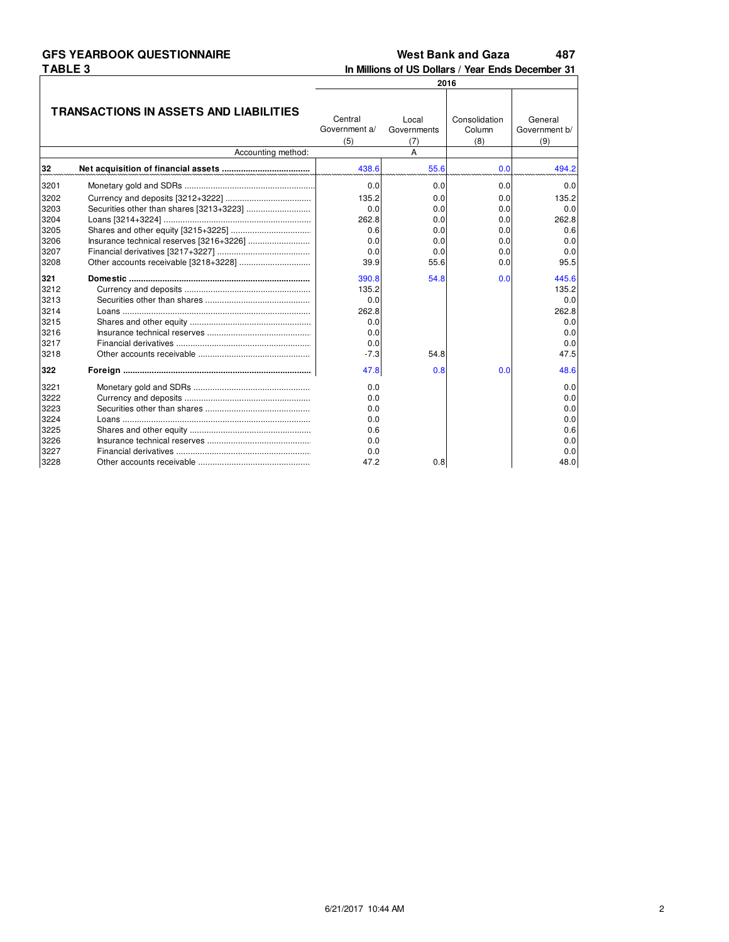#### **West Bank and Gaza** 487

In Millions of US Dollars / Year Ends December 31

|      |                                        | 2016                            |                             |                                |                                 |  |
|------|----------------------------------------|---------------------------------|-----------------------------|--------------------------------|---------------------------------|--|
|      | TRANSACTIONS IN ASSETS AND LIABILITIES | Central<br>Government a/<br>(5) | Local<br>Governments<br>(7) | Consolidation<br>Column<br>(8) | General<br>Government b/<br>(9) |  |
|      | Accounting method:                     |                                 | A                           |                                |                                 |  |
| 32   |                                        | 438.6                           | 55.6                        | 0.0                            | 494.2                           |  |
| 3201 |                                        | 0.0                             | 0.0                         | 0.0                            | 0.0                             |  |
| 3202 |                                        | 135.2                           | 0.0                         | 0.0                            | 135.2                           |  |
| 3203 |                                        | 0.0                             | 0.0                         | 0.0                            | 0.0                             |  |
| 3204 |                                        | 262.8                           | 0.0                         | 0.0                            | 262.8                           |  |
| 3205 |                                        | 0.6                             | 0.0                         | 0.0                            | 0.6                             |  |
| 3206 |                                        | 0.0                             | 0.0                         | 0.0                            | 0.0                             |  |
| 3207 |                                        | 0.0                             | 0.0                         | 0.0                            | 0.0                             |  |
| 3208 |                                        | 39.9                            | 55.6                        | 0.0                            | 95.5                            |  |
| 321  |                                        | 390.8                           | 54.8                        | 0.0                            | 445.6                           |  |
| 3212 |                                        | 135.2                           |                             |                                | 135.2                           |  |
| 3213 |                                        | 0.0                             |                             |                                | 0.0                             |  |
| 3214 |                                        | 262.8                           |                             |                                | 262.8                           |  |
| 3215 |                                        | 0.0                             |                             |                                | 0.0                             |  |
| 3216 |                                        | 0.0                             |                             |                                | 0.0                             |  |
| 3217 |                                        | 0.0                             |                             |                                | 0.0                             |  |
| 3218 |                                        | $-7.3$                          | 54.8                        |                                | 47.5                            |  |
| 322  |                                        | 47.8                            | 0.8                         | 0.0                            | 48.6                            |  |
| 3221 |                                        | 0.0                             |                             |                                | 0.0                             |  |
| 3222 |                                        | 0.0                             |                             |                                | 0.0                             |  |
| 3223 |                                        | 0.0                             |                             |                                | 0.0                             |  |
| 3224 |                                        | 0.0                             |                             |                                | 0.0                             |  |
| 3225 |                                        | 0.6                             |                             |                                | 0.6                             |  |
| 3226 |                                        | 0.0                             |                             |                                | 0.0                             |  |
| 3227 |                                        | 0.0                             |                             |                                | 0.0                             |  |
| 3228 |                                        | 47.2                            | 0.8                         |                                | 48.0                            |  |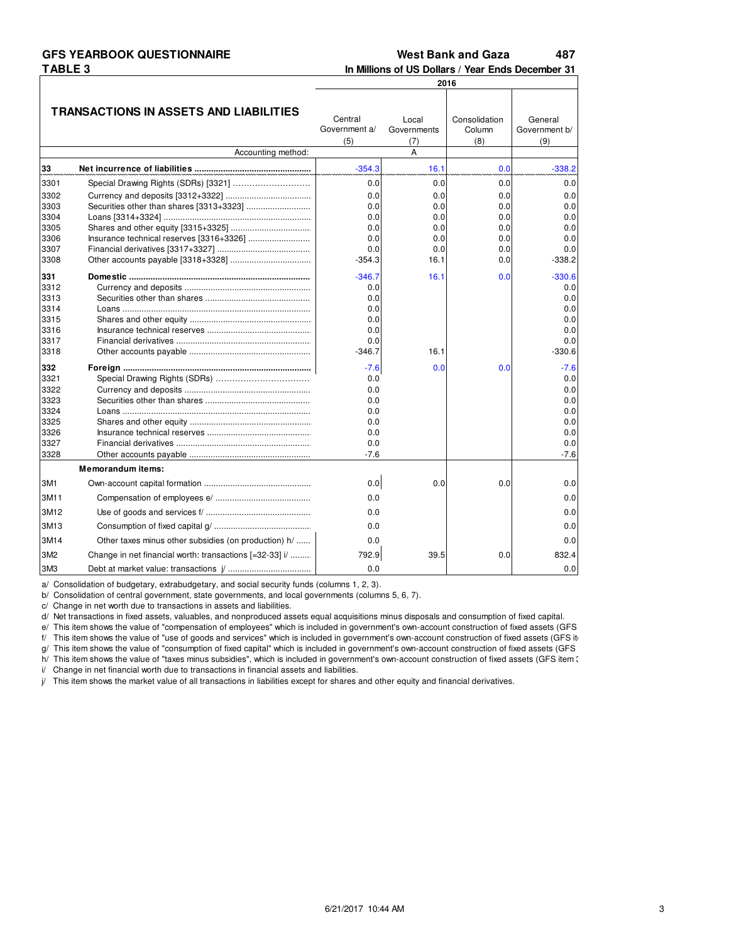# **TABLE 3**

#### **GFS YEARBOOK QUESTIONNAIRE 179,15 487 West Bank and Gaza**

**In Millions of US Dollars / Year Ends December 31**

|                  |                                                         |                                 |                             | 2016                           |                                 |
|------------------|---------------------------------------------------------|---------------------------------|-----------------------------|--------------------------------|---------------------------------|
|                  | <b>TRANSACTIONS IN ASSETS AND LIABILITIES</b>           | Central<br>Government a/<br>(5) | Local<br>Governments<br>(7) | Consolidation<br>Column<br>(8) | General<br>Government b/<br>(9) |
|                  | Accounting method:                                      |                                 | A                           |                                |                                 |
| 33               |                                                         | $-354.3$                        | 16.1                        | 0.0                            | $-338.2$                        |
| 3301             |                                                         | 0.0                             | 0.0                         | 0.0                            | 0.0                             |
| 3302             |                                                         | 0.0                             | 0.0                         | 0.0                            | 0.0                             |
| 3303             |                                                         | 0.0                             | 0.0                         | 0.0                            | 0.0                             |
| 3304             |                                                         | 0.0                             | 0.0                         | 0.0                            | 0.0                             |
| 3305             |                                                         | 0.0                             | 0.0                         | 0.0                            | 0.0                             |
| 3306             |                                                         | 0.0                             | 0.0                         | 0.0                            | 0.0                             |
| 3307             |                                                         | 0.0                             | 0.0                         | 0.0                            | 0.0                             |
| 3308             |                                                         | $-354.3$                        | 16.1                        | 0.0                            | $-338.2$                        |
| 331              |                                                         | $-346.7$                        | 16.1                        | 0.0                            | $-330.6$                        |
| 3312             |                                                         | 0.0                             |                             |                                | 0.0                             |
| 3313             |                                                         | 0.0                             |                             |                                | 0.0                             |
| 3314             |                                                         | 0.0                             |                             |                                | 0.0                             |
| 3315             |                                                         | 0.0                             |                             |                                | 0.0                             |
| 3316             |                                                         | 0.0                             |                             |                                | 0.0                             |
| 3317             |                                                         | 0.0                             |                             |                                | 0.0                             |
| 3318             |                                                         | $-346.7$                        | 16.1                        |                                | $-330.6$                        |
| 332              |                                                         | $-7.6$                          | 0.0                         | 0.0                            | $-7.6$                          |
| 3321             |                                                         | 0.0                             |                             |                                | 0.0                             |
| 3322             |                                                         | 0.0                             |                             |                                | 0.0                             |
| 3323             |                                                         | 0.0                             |                             |                                | 0.0                             |
| 3324             |                                                         | 0.0                             |                             |                                | 0.0                             |
| 3325             |                                                         | 0.0                             |                             |                                | 0.0                             |
| 3326             |                                                         | 0.0                             |                             |                                | 0.0                             |
| 3327             |                                                         | 0.0                             |                             |                                | 0.0                             |
| 3328             |                                                         | $-7.6$                          |                             |                                | $-7.6$                          |
|                  | <b>Memorandum items:</b>                                |                                 |                             |                                |                                 |
| 3M1              |                                                         | 0.0                             | 0.0                         | 0.0                            | 0.0                             |
| 3M11             |                                                         | 0.0                             |                             |                                | 0.0                             |
| 3M12             |                                                         | 0.0                             |                             |                                | 0.0                             |
| 3M <sub>13</sub> |                                                         | 0.0                             |                             |                                | 0.0                             |
| 3M14             | Other taxes minus other subsidies (on production) h/    | 0.0                             |                             |                                | 0.0                             |
| 3M2              | Change in net financial worth: transactions [=32-33] i/ | 792.9                           | 39.5                        | 0.0                            | 832.4                           |
| 3M3              |                                                         | 0.0                             |                             |                                | 0.0                             |

a/ Consolidation of budgetary, extrabudgetary, and social security funds (columns 1, 2, 3).

b/ Consolidation of central government, state governments, and local governments (columns 5, 6, 7).

c/ Change in net worth due to transactions in assets and liabilities.

d/ Net transactions in fixed assets, valuables, and nonproduced assets equal acquisitions minus disposals and consumption of fixed capital.

e/ This item shows the value of "compensation of employees" which is included in government's own-account construction of fixed assets (GFS

f/ This item shows the value of "use of goods and services" which is included in government's own-account construction of fixed assets (GFS it

g/ This item shows the value of "consumption of fixed capital" which is included in government's own-account construction of fixed assets (GFS h/ This item shows the value of "taxes minus subsidies", which is included in government's own-account construction of fixed assets (GFS item 31).

i/ Change in net financial worth due to transactions in financial assets and liabilities.

 $j$  This item shows the market value of all transactions in liabilities except for shares and other equity and financial derivatives.